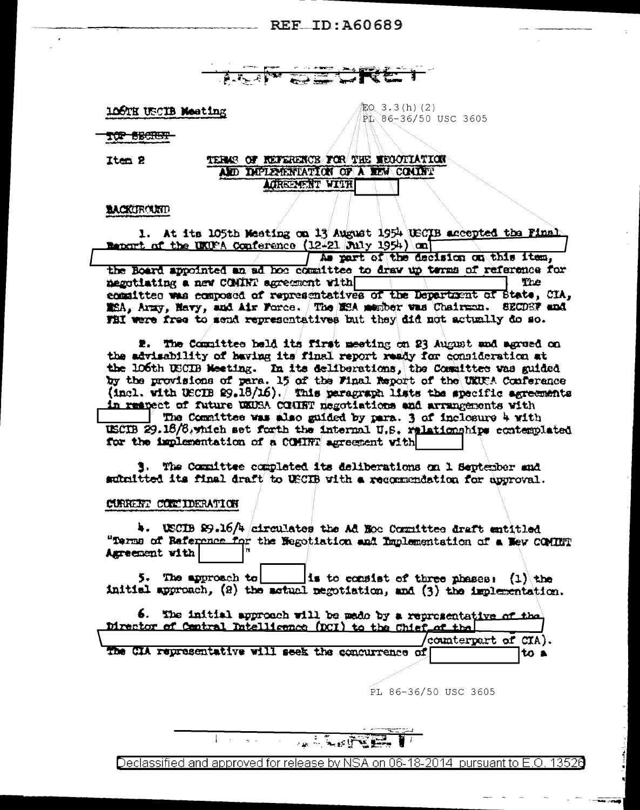**ALLAVA**  $\overline{\mathbf{z}}$ 

106TH USCIB Meeting

配Q 3.3(h)(2) PL 86-36/50 USC 3605

TÚP BECHET

Item 2

#### TERMS OF REFERENCE FOR THE MEGOPIATION ALD DEPLEMENTATION OF A REM COMMET ACREEMENT WITH

#### **BACKURCURD**

1. At its 105th Meeting on 13 August 1954 USCIB accepted the Final **Henort of the UKUPA Conference (12-21 July 1954) onl** As part of the decision on this item, the Board appointed an ad hoo committee to draw up terms of reference for negotiating a new COMINT agreement with The committee was composed of representatives of the Department of State, CIA, MSA, Army, Mary, and Air Force. The MSA member was Chairman. SECDSF and FBI were free to send representatives but they did not actually do so.

2. The Committee held its first meeting on 23 August and agreed on the advisability of having its final report ready for consideration at the 106th USCIB Meeting. In its deliberations, the Committee was guided by the provisions of para. 15 of the Final Report of the UKUCA Conference (incl. with USCIB  $99.18/16$ ). This paragraph lists the specific agreements in respect of future UKUSA COURT negotiations and arrangements with

The Committee was also guided by para. 3 of inclosure 4 with USCIB 29.16/6, which set forth the internal U.S. relationships contemplated for the implementation of a COMINT agreement with

**3. The Committee completed its deliberations on 1 September and** submitted its final draft to USCIB with a recommendation for approval.

#### CURRENT CONTIDERATION

4. USCIB 29.16/4 circulates the Ad Hoc Committee draft entitled "Terms of Baference for the Negotiation and Implementation of a New COMINT Agreement with

 $5.$  The approach to is to consist of three phases:  $(1)$  the initial approach, (2) the actual negotiation, and (3) the implementation.

| Director of Central Intellicence (DCI) to the Chief of the | 6. The initial approach will be made by a representative of the |              |
|------------------------------------------------------------|-----------------------------------------------------------------|--------------|
|                                                            | (counterpart of CIA).                                           |              |
| The CIA representative will seek the concurrence of        |                                                                 | $\cdot$ to a |

PL 86-36/50 USC 3605

**ALLER STREET** 

Declassified and approved for release by NSA on 06-18-2014 pursuant to E.O. 13526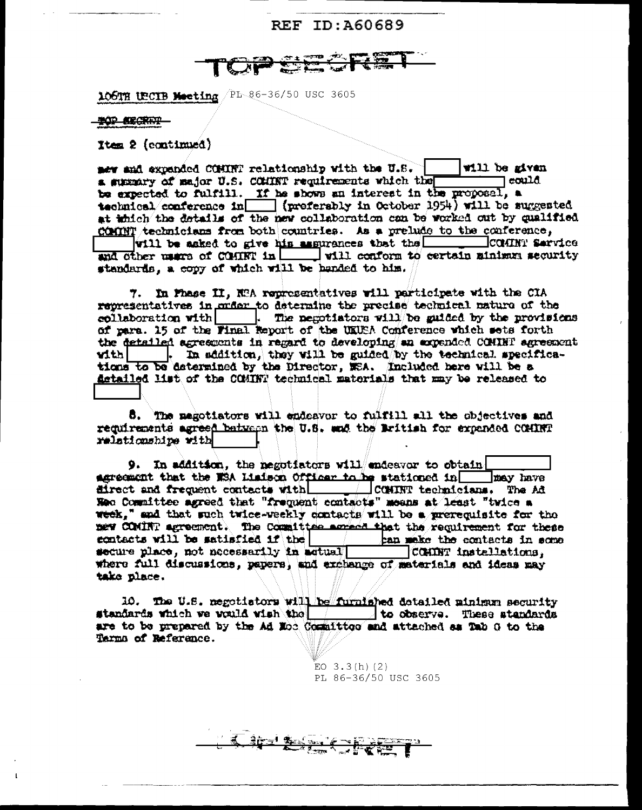

106TH UECIB Meeting PL 86-36/50 USC 3605

**TOP BEGREEN** 

Item 2 (continued)

new and expanded COMINT relationship with the U.S. will be given a summary of major U.S. COMINT requirements which the  $\sqcap$  could be expected to fulfill. If he shows an interest in the proposal, a technical conference in  $\boxed{\phantom{a}}$  (preferably in October 1954) will be suggested at thich the details of the new collaboration can be worked out by qualified COMINT technicians from both countries. As a prelude to the conference, will be asked to give his assurances that the COMINT Service and other mars of CONNT in  $\Box$  will conform to certain minimum security standards, a copy of which will be handed to him.

7. In Phase II, NRA representatives will participate with the CIA representatives in order to determine the precise technical nature of the collaboration with  $\Box$ . The negotiators will be guided by the provisions of para. 15 of the Final Report of the UKUSA Conference which sets forth the detailed agreements in regard to developing an expended CCMINT agreement |. In addition, they will be guided by the technical specifica $with$ tions to be determined by the Director, MEA. Included here will be a getailed list of the COMINT technical materials that may be released to

8. The megotiators will endeavor to fulfill all the objectives and requirements agreed batween the U.S. and the British for expended COMINT relationshipe with

9. In addition, the negotiators will endeavor to obtain agreement that the WSA Liminon Officer to he stationed in may have direct and frequent contacts with  $\Box$  CONINT technicians. The Ad Heo Committee agreed that "frequent contacts" means at least "twice a week," and that such twice-weekly contacts will be a prerequisite for the new COMINT agreement. The Committee agreed that the requirement for these ecntacts will be satisfied if the **Example the contacts in some** secure place, not necessarily in actual COMMT installations. where full discussions, papers, and exchange of materials and ideas may take place.

10. The U.S. negotiators will be furnished dotailed minimum security standards which we would wish the to observe. These standards are to be prepared by the Ad Noc Committee and attached as Tab G to the Terma of Reference.

<u>Titulisme</u>

EO  $3.3(h)(2)$ PL 86-36/50 USC 3605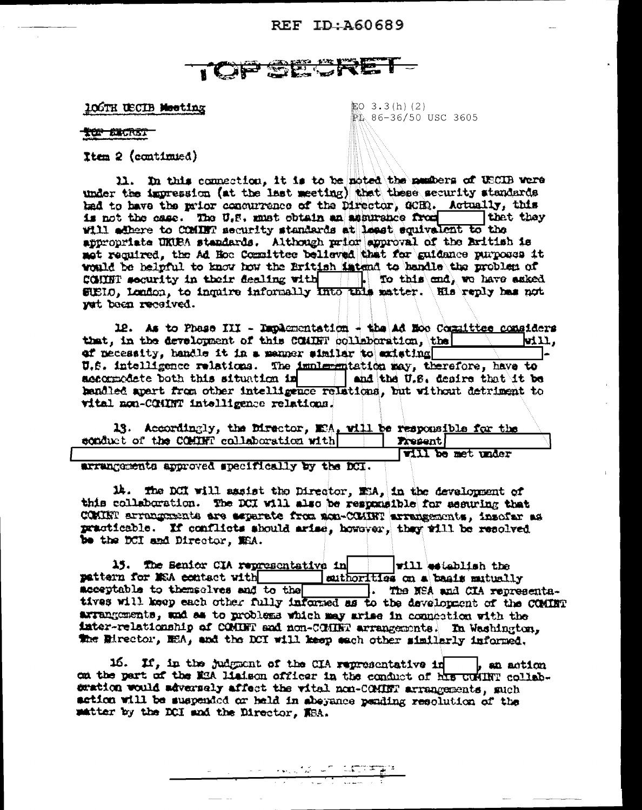# TOP SEST

106TH USCIB Meeting

配O 3.3(h)(2)  $\mathbb{R}$ , 86-36/50 USC 3605

#### **TOP BIGRET**

Item 2 (continued)

11. In this connection, it is to be noted the members of USCIB were under the impression (at the last meeting) that these security standards had to have the prior concurrence of the Director, GCER. Actually, this is not the case. The U.S. must obtain an assurance from thet they will edhere to COMMNT security standards at least equivalent to the appropriate UKUBA standards. Although prior approval of the British is mot required, the Ad Hoc Committee believed that for guidance purposes it would be helpful to know how the British intend to handle the problem of COMMET security in their dealing with  $||\cdot||_2$  To this and, we have asked SUELO, London, to inquire informally into this matter. His reply has not yet been received.

12. As to Phese III - Implementation - the Ad Noo Committee considers that. in the development of this COMBR collaboration, the Will, of necessity, handle it in a manner similar to existing U.S. intelligence relations. The implementation may, therefore, have to accompodete both this situation in and the U.S. desire that it be hendled apert from other intelligence relations, but without detriment to vital non-CGHINT intelligence relations.

13. Accordingly, the Director, M2A, will be responsible for the conduct of the COMMET collaboration with | | Present

**Will be met under** 

arrangements approved specifically by the DCI.

14. The DCI will assist the Director, ESA, in the development of this collaboration. The DCI will also be responsible for assuring that COMINT arranguments are separate from aca-COMINT arrangements, insofar as practicable. If conflicts should arise, however, thay will be resolved be the DCI and Director, MEA.

15. The Benior CIA representative in will establish the pattern for MSA contact with authorities on a basis mutually acceptable to themselves and to the control. The MSA and CIA representatives will keep each other fully informed as to the development of the CCMINT arrangements, and as to problems which may arise in connection with the inter-relationship of COMBNT and non-COMBN arrangements. In Washington, the Eirector, ESA, and the DCI will keep each other similarly informed.

16. If, in the judgment of the CIA representative in  $\vert$ , an action on the part of the M3A liaison officer in the conduct of his CUMINT collabcration would adversely affect the witel non-COMINT arrangements, such setion will be suspended or held in abeyance pending resolution of the matter by the DCI and the Director. WBA.

<sub>್ ಸಂ</sub>ಗ್ರಹಿಸಿದ ಸಂಸ್ಥಾನಿಕ ಹಾಗೂ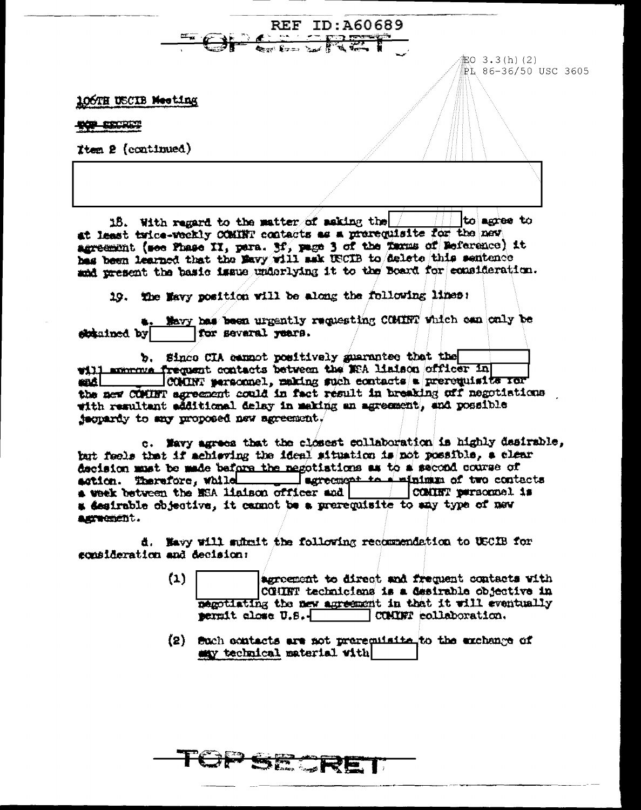**REF ID:A60689** 記0 3.3(h)(2) PL 86-36/50 USC 3605 106TH USCIB Meeting **TOP EXCRET** Tten 2 (continued)

18. With regard to the matter of saking the  $/$ to acces to at least twice-weekly COMINT contacts as a prerequisite for the new agreement (see Phase II, para. 3f, page 3 of the Tarms of Reference) it has been learned that the Mavy will ask USCIB to delete this sentence and present the basic issue underlying it to the Board for consideration.

19. The Mayy position will be along the following lines:

Mavy has been urgently requesting COMINT which can only be for several years. eletained by

b. Since CIA cannot positively guarantee that the will moment frequent contacts between the MEA liaison officer in COMONT personnel, making such contacts a prerequisite ror enĉL the new COMINT agreement could in fact result in breaking off negotiations with resultant additional delay in making an agreement, and possible jacquardy to any proposed new agreement.

c. Mavy agrees that the closest collaboration is highly desirable, but feels that if achieving the ideal situation is not possible, a clear decision must be made before the negotiations as to a second course of action. Therefore, while surrement to s' minimum of two contacts a desirable objective, it cannot be a prerequisite to any type of new astwement.

d. Havy will submit the following recommendation to USCIB for consideration and decision:

268.

- $(1)$ agreement to direct and frequent contacts with CGHINT technicians is a desirable objective in megotiating the new agreement in that it will eventually permit close U.S.-COMINT collaboration.
- (2) Such contacts are not prerequisite to the exchange of may technical material with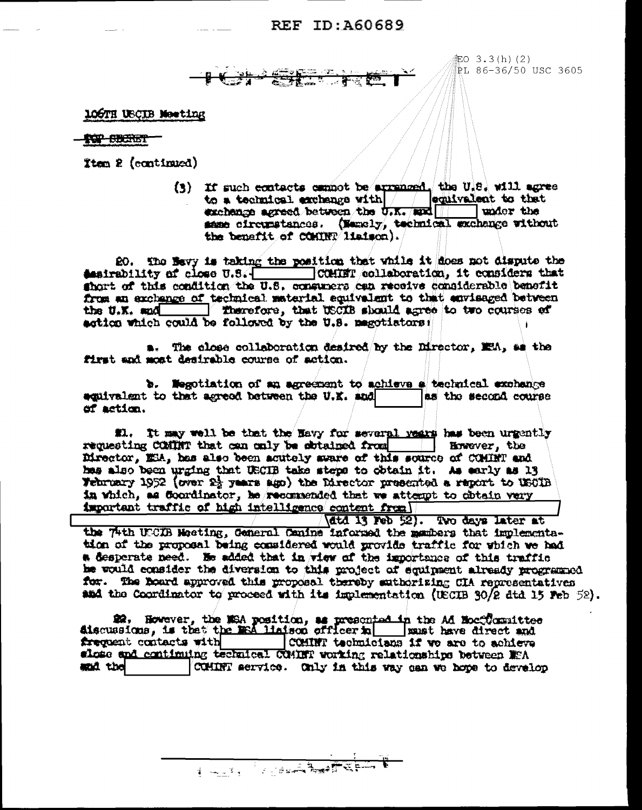記O 3.3(h)(2) PL 86-36/50 USC 3605

106TH USCIB Moeting

#### **TOP SECRET**

Item 2 (continued)

(3) If such contacts cannot be arremost. the U.S. will agree to a technical exchange with equivalent to that exchange agreed between the  $\sigma_{\rm rKr}$  and | under the same circumstances. (Manely, technical exchange without the benefit of CONTER lisison).

20. The Nevy is taking the position that while it does not dispute the desirability of close  $U.S.$   $\overline{U.S.}$  COMINT (collaboration, it considers that there is a sense of this condition the U.S. consumers can receive considerable benefit from an exchange of technical material equivalent to that envisaged between the U.K. and Therefore, that USCIB should agree to two courses of action which could be followed by the U.S. magotiators:

a. The close collaboration desired by the Director, MEA, as the first and most desirable course of action.

b. Wegotiation of an agreement to achieve a technical exchange as the second course acuivalent to that agreed between the U.K. and of action.

#1. It may well be that the Havy for several vears has been urgently requesting COMINT that can only be sbtained from [15] However, the Director, ESA, has also been acutely sware of this source of COMINT and has also been urging that USCIB take steps to obtain it. As early as 13 Webruary 1952 (over 2} years ago) the Director presented a report to USCIB in which, as Coordinator, he reconsended that we attempt to obtain very important traffic of high intelligence content from

(dtd 13 Feb 52). Two days later at the 74th UCCUB Meeting, General Canine informed the members that implementation of the proposal being considered would provide traffic for which we had a desperate need. He added that in view of the importance of this traffic he would consider the diversion to this project of equipent already programed

for. The board approved this proposal thereby suthorizing CIA representatives and the Coordinator to proceed with its implementation (UECIB 30/2 dtd 15 Feb 52).

frequent contacts with COMINT technicians if we are to achieve slose and continuing technical COMINT working relationships between MEA and the COMINT service. Only in this way can we hope to develop